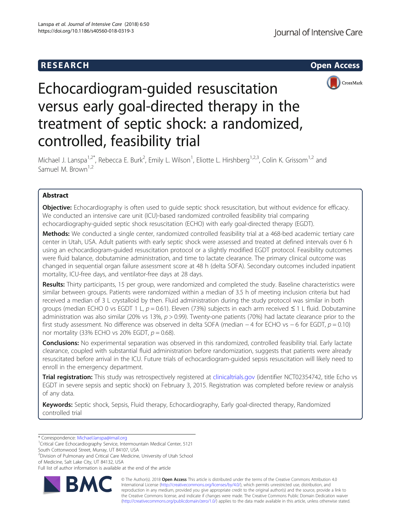# **RESEARCH CHEAR CHEAR CHEAR CHEAR CHEAR CHEAR CHEAR CHEAR CHEAR CHEAR CHEAR CHEAR CHEAR CHEAR CHEAR CHEAR CHEAR**



# Echocardiogram-guided resuscitation versus early goal-directed therapy in the treatment of septic shock: a randomized, controlled, feasibility trial

Michael J. Lanspa<sup>1,2\*</sup>, Rebecca E. Burk<sup>2</sup>, Emily L. Wilson<sup>1</sup>, Eliotte L. Hirshberg<sup>1,2,3</sup>, Colin K. Grissom<sup>1,2</sup> and Samuel M. Brown<sup>1,2</sup>

# Abstract

**Objective:** Echocardiography is often used to quide septic shock resuscitation, but without evidence for efficacy. We conducted an intensive care unit (ICU)-based randomized controlled feasibility trial comparing echocardiography-guided septic shock resuscitation (ECHO) with early goal-directed therapy (EGDT).

Methods: We conducted a single center, randomized controlled feasibility trial at a 468-bed academic tertiary care center in Utah, USA. Adult patients with early septic shock were assessed and treated at defined intervals over 6 h using an echocardiogram-guided resuscitation protocol or a slightly modified EGDT protocol. Feasibility outcomes were fluid balance, dobutamine administration, and time to lactate clearance. The primary clinical outcome was changed in sequential organ failure assessment score at 48 h (delta SOFA). Secondary outcomes included inpatient mortality, ICU-free days, and ventilator-free days at 28 days.

Results: Thirty participants, 15 per group, were randomized and completed the study. Baseline characteristics were similar between groups. Patients were randomized within a median of 3.5 h of meeting inclusion criteria but had received a median of 3 L crystalloid by then. Fluid administration during the study protocol was similar in both groups (median ECHO 0 vs EGDT 1 L,  $p = 0.61$ ). Eleven (73%) subjects in each arm received  $\leq 1$  L fluid. Dobutamine administration was also similar (20% vs 13%,  $p > 0.99$ ). Twenty-one patients (70%) had lactate clearance prior to the first study assessment. No difference was observed in delta SOFA (median − 4 for ECHO vs − 6 for EGDT, p = 0.10) nor mortality (33% ECHO vs 20% EGDT,  $p = 0.68$ ).

Conclusions: No experimental separation was observed in this randomized, controlled feasibility trial. Early lactate clearance, coupled with substantial fluid administration before randomization, suggests that patients were already resuscitated before arrival in the ICU. Future trials of echocardiogram-guided sepsis resuscitation will likely need to enroll in the emergency department.

Trial registration: This study was retrospectively registered at [clinicaltrials.gov](http://clinicaltrials.gov) (identifier NCT02354742, title Echo vs EGDT in severe sepsis and septic shock) on February 3, 2015. Registration was completed before review or analysis of any data.

Keywords: Septic shock, Sepsis, Fluid therapy, Echocardiography, Early goal-directed therapy, Randomized controlled trial

\* Correspondence: [Michael.lanspa@imail.org](mailto:Michael.lanspa@imail.org) <sup>1</sup>

<sup>1</sup>Critical Care Echocardiography Service, Intermountain Medical Center, 5121 South Cottonwood Street, Murray, UT 84107, USA

<sup>2</sup> Division of Pulmonary and Critical Care Medicine, University of Utah School

of Medicine, Salt Lake City, UT 84132, USA

Full list of author information is available at the end of the article



© The Author(s). 2018 Open Access This article is distributed under the terms of the Creative Commons Attribution 4.0 International License [\(http://creativecommons.org/licenses/by/4.0/](http://creativecommons.org/licenses/by/4.0/)), which permits unrestricted use, distribution, and reproduction in any medium, provided you give appropriate credit to the original author(s) and the source, provide a link to the Creative Commons license, and indicate if changes were made. The Creative Commons Public Domain Dedication waiver [\(http://creativecommons.org/publicdomain/zero/1.0/](http://creativecommons.org/publicdomain/zero/1.0/)) applies to the data made available in this article, unless otherwise stated.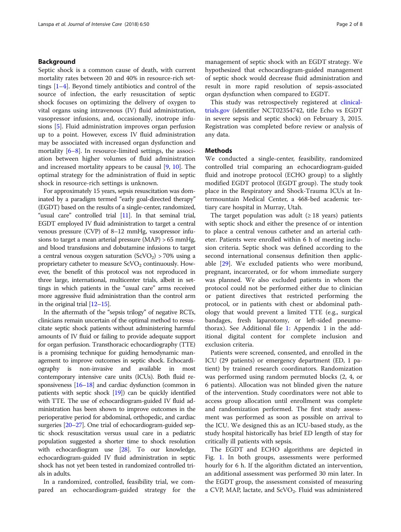# Background

Septic shock is a common cause of death, with current mortality rates between 20 and 40% in resource-rich settings [[1](#page-6-0)–[4\]](#page-6-0). Beyond timely antibiotics and control of the source of infection, the early resuscitation of septic shock focuses on optimizing the delivery of oxygen to vital organs using intravenous (IV) fluid administration, vasopressor infusions, and, occasionally, inotrope infusions [[5\]](#page-6-0). Fluid administration improves organ perfusion up to a point. However, excess IV fluid administration may be associated with increased organ dysfunction and mortality [[6](#page-6-0)–[8\]](#page-6-0). In resource-limited settings, the association between higher volumes of fluid administration and increased mortality appears to be causal [[9,](#page-6-0) [10\]](#page-7-0). The optimal strategy for the administration of fluid in septic shock in resource-rich settings is unknown.

For approximately 15 years, sepsis resuscitation was dominated by a paradigm termed "early goal-directed therapy" (EGDT) based on the results of a single-center, randomized, "usual care" controlled trial [[11\]](#page-7-0). In that seminal trial, EGDT employed IV fluid administration to target a central venous pressure (CVP) of 8–12 mmHg, vasopressor infusions to target a mean arterial pressure (MAP) > 65 mmHg, and blood transfusions and dobutamine infusions to target a central venous oxygen saturation  $(ScVO<sub>2</sub>) > 70%$  using a proprietary catheter to measure  $ScVO<sub>2</sub>$  continuously. However, the benefit of this protocol was not reproduced in three large, international, multicenter trials, albeit in settings in which patients in the "usual care" arms received more aggressive fluid administration than the control arm in the original trial [\[12](#page-7-0)–[15\]](#page-7-0).

In the aftermath of the "sepsis trilogy" of negative RCTs, clinicians remain uncertain of the optimal method to resuscitate septic shock patients without administering harmful amounts of IV fluid or failing to provide adequate support for organ perfusion. Transthoracic echocardiography (TTE) is a promising technique for guiding hemodynamic management to improve outcomes in septic shock. Echocardiography is non-invasive and available in most contemporary intensive care units (ICUs). Both fluid responsiveness [\[16](#page-7-0)–[18](#page-7-0)] and cardiac dysfunction (common in patients with septic shock [\[19](#page-7-0)]) can be quickly identified with TTE. The use of echocardiogram-guided IV fluid administration has been shown to improve outcomes in the perioperative period for abdominal, orthopedic, and cardiac surgeries [\[20](#page-7-0)–[27\]](#page-7-0). One trial of echocardiogram-guided septic shock resuscitation versus usual care in a pediatric population suggested a shorter time to shock resolution with echocardiogram use [\[28](#page-7-0)]. To our knowledge, echocardiogram-guided IV fluid administration in septic shock has not yet been tested in randomized controlled trials in adults.

In a randomized, controlled, feasibility trial, we compared an echocardiogram-guided strategy for the

management of septic shock with an EGDT strategy. We hypothesized that echocardiogram-guided management of septic shock would decrease fluid administration and result in more rapid resolution of sepsis-associated organ dysfunction when compared to EGDT.

This study was retrospectively registered at [clinical](http://clinicaltrials.gov)[trials.gov](http://clinicaltrials.gov) (identifier NCT02354742, title Echo vs EGDT in severe sepsis and septic shock) on February 3, 2015. Registration was completed before review or analysis of any data.

# Methods

We conducted a single-center, feasibility, randomized controlled trial comparing an echocardiogram-guided fluid and inotrope protocol (ECHO group) to a slightly modified EGDT protocol (EGDT group). The study took place in the Respiratory and Shock-Trauma ICUs at Intermountain Medical Center, a 468-bed academic tertiary care hospital in Murray, Utah.

The target population was adult  $(≥ 18$  years) patients with septic shock and either the presence of or intention to place a central venous catheter and an arterial catheter. Patients were enrolled within 6 h of meeting inclusion criteria. Septic shock was defined according to the second international consensus definition then applicable [[29](#page-7-0)]. We excluded patients who were moribund, pregnant, incarcerated, or for whom immediate surgery was planned. We also excluded patients in whom the protocol could not be performed either due to clinician or patient directives that restricted performing the protocol, or in patients with chest or abdominal pathology that would prevent a limited TTE (e.g., surgical bandages, fresh laparotomy, or left-sided pneumothorax). See Additional file [1](#page-6-0): Appendix 1 in the additional digital content for complete inclusion and exclusion criteria.

Patients were screened, consented, and enrolled in the ICU (29 patients) or emergency department (ED, 1 patient) by trained research coordinators. Randomization was performed using random permuted blocks (2, 4, or 6 patients). Allocation was not blinded given the nature of the intervention. Study coordinators were not able to access group allocation until enrollment was complete and randomization performed. The first study assessment was performed as soon as possible on arrival to the ICU. We designed this as an ICU-based study, as the study hospital historically has brief ED length of stay for critically ill patients with sepsis.

The EGDT and ECHO algorithms are depicted in Fig. [1](#page-2-0). In both groups, assessments were performed hourly for 6 h. If the algorithm dictated an intervention, an additional assessment was performed 30 min later. In the EGDT group, the assessment consisted of measuring a CVP, MAP, lactate, and ScVO<sub>2</sub>. Fluid was administered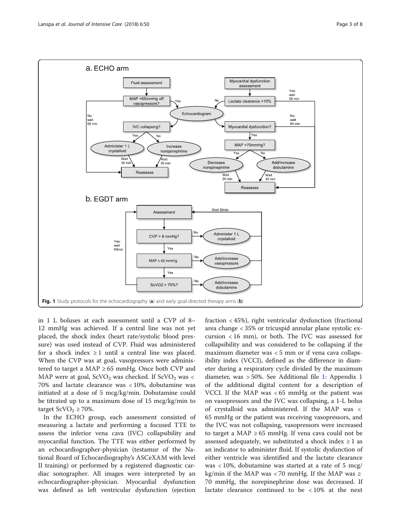<span id="page-2-0"></span>

in 1 L boluses at each assessment until a CVP of 8– 12 mmHg was achieved. If a central line was not yet placed, the shock index (heart rate/systolic blood pressure) was used instead of CVP. Fluid was administered for a shock index  $\geq 1$  until a central line was placed. When the CVP was at goal, vasopressors were administered to target a MAP  $\geq$  65 mmHg. Once both CVP and MAP were at goal,  $ScVO<sub>2</sub>$  was checked. If  $ScVO<sub>2</sub>$  was < 70% and lactate clearance was < 10%, dobutamine was initiated at a dose of 5 mcg/kg/min. Dobutamine could be titrated up to a maximum dose of 15 mcg/kg/min to target  $ScVO<sub>2</sub> \ge 70$ %.

In the ECHO group, each assessment consisted of measuring a lactate and performing a focused TTE to assess the inferior vena cava (IVC) collapsibility and myocardial function. The TTE was either performed by an echocardiographer-physician (testamur of the National Board of Echocardiography's ASCeXAM with level II training) or performed by a registered diagnostic cardiac sonographer. All images were interpreted by an echocardiographer-physician. Myocardial dysfunction was defined as left ventricular dysfunction (ejection

fraction < 45%), right ventricular dysfunction (fractional area change < 35% or tricuspid annular plane systolic excursion < 16 mm), or both. The IVC was assessed for collapsibility and was considered to be collapsing if the maximum diameter was < 5 mm or if vena cava collapsibility index (VCCI), defined as the difference in diameter during a respiratory cycle divided by the maximum diameter, was > 50%. See Additional file [1](#page-6-0): Appendix 1 of the additional digital content for a description of VCCI. If the MAP was < 65 mmHg or the patient was on vasopressors and the IVC was collapsing, a 1-L bolus of crystalloid was administered. If the MAP was < 65 mmHg or the patient was receiving vasopressors, and the IVC was not collapsing, vasopressors were increased to target a MAP  $\geq$  65 mmHg. If vena cava could not be assessed adequately, we substituted a shock index  $\geq 1$  as an indicator to administer fluid. If systolic dysfunction of either ventricle was identified and the lactate clearance was  $<$  10%, dobutamine was started at a rate of 5 mcg/ kg/min if the MAP was < 70 mmHg. If the MAP was  $\ge$ 70 mmHg, the norepinephrine dose was decreased. If lactate clearance continued to be  $\langle 10\%$  at the next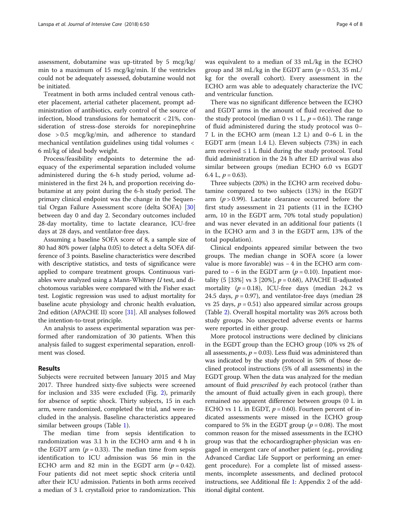assessment, dobutamine was up-titrated by 5 mcg/kg/ min to a maximum of 15 mcg/kg/min. If the ventricles could not be adequately assessed, dobutamine would not be initiated.

Treatment in both arms included central venous catheter placement, arterial catheter placement, prompt administration of antibiotics, early control of the source of infection, blood transfusions for hematocrit  $< 21\%$ , consideration of stress-dose steroids for norepinephrine dose > 0.5 mcg/kg/min, and adherence to standard mechanical ventilation guidelines using tidal volumes < 6 ml/kg of ideal body weight.

Process/feasibility endpoints to determine the adequacy of the experimental separation included volume administered during the 6-h study period, volume administered in the first 24 h, and proportion receiving dobutamine at any point during the 6-h study period. The primary clinical endpoint was the change in the Sequential Organ Failure Assessment score (delta SOFA) [[30](#page-7-0)] between day 0 and day 2. Secondary outcomes included 28-day mortality, time to lactate clearance, ICU-free days at 28 days, and ventilator-free days.

Assuming a baseline SOFA score of 8, a sample size of 80 had 80% power (alpha 0.05) to detect a delta SOFA difference of 3 points. Baseline characteristics were described with descriptive statistics, and tests of significance were applied to compare treatment groups. Continuous variables were analyzed using a Mann-Whitney U test, and dichotomous variables were compared with the Fisher exact test. Logistic regression was used to adjust mortality for baseline acute physiology and chronic health evaluation, 2nd edition (APACHE II) score [[31](#page-7-0)]. All analyses followed the intention-to-treat principle.

An analysis to assess experimental separation was performed after randomization of 30 patients. When this analysis failed to suggest experimental separation, enrollment was closed.

## Results

Subjects were recruited between January 2015 and May 2017. Three hundred sixty-five subjects were screened for inclusion and 335 were excluded (Fig. [2\)](#page-4-0), primarily for absence of septic shock. Thirty subjects, 15 in each arm, were randomized, completed the trial, and were included in the analysis. Baseline characteristics appeared similar between groups (Table [1\)](#page-4-0).

The median time from sepsis identification to randomization was 3.1 h in the ECHO arm and 4 h in the EGDT arm  $(p = 0.33)$ . The median time from sepsis identification to ICU admission was 56 min in the ECHO arm and 82 min in the EGDT arm  $(p = 0.42)$ . Four patients did not meet septic shock criteria until after their ICU admission. Patients in both arms received a median of 3 L crystalloid prior to randomization. This was equivalent to a median of 33 mL/kg in the ECHO group and 38 mL/kg in the EGDT arm ( $p = 0.53$ , 35 mL/ kg for the overall cohort). Every assessment in the ECHO arm was able to adequately characterize the IVC and ventricular function.

There was no significant difference between the ECHO and EGDT arms in the amount of fluid received due to the study protocol (median 0 vs 1 L,  $p = 0.61$ ). The range of fluid administered during the study protocol was 0– 7 L in the ECHO arm (mean 1.2 L) and 0–6 L in the EGDT arm (mean 1.4 L). Eleven subjects (73%) in each arm received  $\leq 1$  L fluid during the study protocol. Total fluid administration in the 24 h after ED arrival was also similar between groups (median ECHO 6.0 vs EGDT 6.4 L,  $p = 0.63$ ).

Three subjects (20%) in the ECHO arm received dobutamine compared to two subjects (13%) in the EGDT arm  $(p > 0.99)$ . Lactate clearance occurred before the first study assessment in 21 patients (11 in the ECHO arm, 10 in the EGDT arm, 70% total study population) and was never elevated in an additional four patients (1 in the ECHO arm and 3 in the EGDT arm, 13% of the total population).

Clinical endpoints appeared similar between the two groups. The median change in SOFA score (a lower value is more favorable) was − 4 in the ECHO arm compared to −6 in the EGDT arm ( $p = 0.10$ ). Inpatient mortality (5 [33%] vs 3 [20%],  $p = 0.68$ ), APACHE II-adjusted mortality  $(p = 0.18)$ , ICU-free days (median 24.2 vs 24.5 days,  $p = 0.97$ ), and ventilator-free days (median 28 vs 25 days,  $p = 0.51$ ) also appeared similar across groups (Table [2\)](#page-5-0). Overall hospital mortality was 26% across both study groups. No unexpected adverse events or harms were reported in either group.

More protocol instructions were declined by clinicians in the EGDT group than the ECHO group (10% vs 2% of all assessments,  $p = 0.03$ ). Less fluid was administered than was indicated by the study protocol in 50% of those declined protocol instructions (5% of all assessments) in the EGDT group. When the data was analyzed for the median amount of fluid *prescribed by* each protocol (rather than the amount of fluid actually given in each group), there remained no apparent difference between groups (0 L in ECHO vs 1 L in EGDT,  $p = 0.60$ ). Fourteen percent of indicated assessments were missed in the ECHO group compared to 5% in the EGDT group ( $p = 0.08$ ). The most common reason for the missed assessments in the ECHO group was that the echocardiographer-physician was engaged in emergent care of another patient (e.g., providing Advanced Cardiac Life Support or performing an emergent procedure). For a complete list of missed assessments, incomplete assessments, and declined protocol instructions, see Additional file [1](#page-6-0): Appendix 2 of the additional digital content.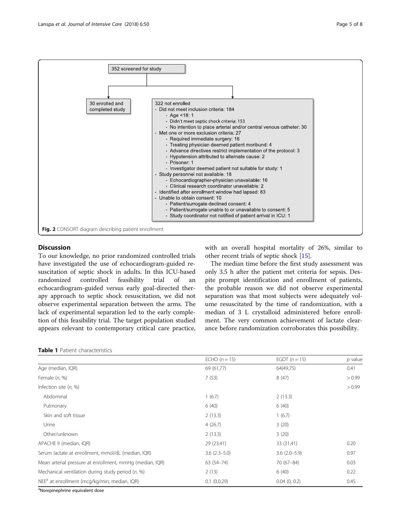<span id="page-4-0"></span>

# Discussion

To our knowledge, no prior randomized controlled trials have investigated the use of echocardiogram-guided resuscitation of septic shock in adults. In this ICU-based randomized controlled feasibility trial of an echocardiogram-guided versus early goal-directed therapy approach to septic shock resuscitation, we did not observe experimental separation between the arms. The lack of experimental separation led to the early completion of this feasibility trial. The target population studied appears relevant to contemporary critical care practice,

with an overall hospital mortality of 26%, similar to other recent trials of septic shock [[15\]](#page-7-0).

The median time before the first study assessment was only 3.5 h after the patient met criteria for sepsis. Despite prompt identification and enrollment of patients, the probable reason we did not observe experimental separation was that most subjects were adequately volume resuscitated by the time of randomization, with a median of 3 L crystalloid administered before enrollment. The very common achievement of lactate clearance before randomization corroborates this possibility.

Table 1 Patient characteristics

|                                                          | ECHO $(n=15)$  | EGDT $(n = 15)$ | $p$ value |
|----------------------------------------------------------|----------------|-----------------|-----------|
| Age (median, IQR)                                        | 69 (61,77)     | 64(49,75)       | 0.41      |
| Female $(n, %)$                                          | 7(53)          | 8(47)           | > 0.99    |
| Infection site $(n, %)$                                  |                |                 | > 0.99    |
| Abdominal                                                | 1(6.7)         | 2(13.3)         |           |
| Pulmonary                                                | 6(40)          | 6(40)           |           |
| Skin and soft tissue                                     | 2(13.3)        | 1(6.7)          |           |
| Urine                                                    | 4(26.7)        | 3(20)           |           |
| Other/unknown                                            | 2(13.3)        | 3(20)           |           |
| APACHE II (median, IQR)                                  | 29 (23,41)     | 33 (31,41)      | 0.20      |
| Serum lactate at enrollment, mmol/dL (median, IQR)       | $3.6(2.3-5.0)$ | $3.6(2.0-5.9)$  | 0.97      |
| Mean arterial pressure at enrollment, mmHg (median, IQR) | $63(54 - 74)$  | $70(67 - 84)$   | 0.03      |
| Mechanical ventilation during study period (n, %)        | 2(13)          | 6(40)           | 0.22      |
| NEE <sup>a</sup> at enrollment (mcg/kg/min, median, IQR) | 0.1(0,0.29)    | 0.04(0, 0.2)    | 0.45      |

<sup>a</sup>Norepinephrine equivalent dose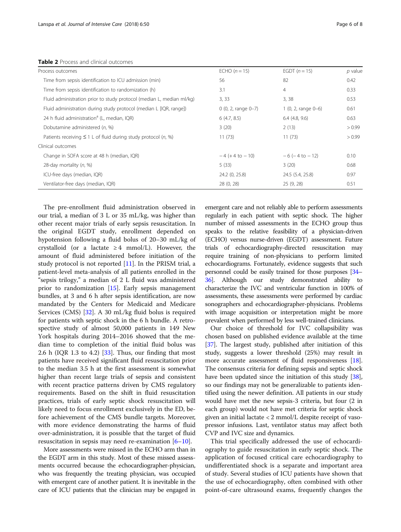<span id="page-5-0"></span>Table 2 Process and clinical outcomes

| Process outcomes                                                      | ECHO $(n = 15)$        | EGDT $(n = 15)$        | $p$ value |
|-----------------------------------------------------------------------|------------------------|------------------------|-----------|
| Time from sepsis identification to ICU admission (min)                | 56                     | 82                     | 0.42      |
| Time from sepsis identification to randomization (h)                  | 3.1                    | 4                      | 0.33      |
| Fluid administration prior to study protocol (median L, median ml/kg) | 3, 33                  | 3, 38                  | 0.53      |
| Fluid administration during study protocol (median L [IQR, range])    | $0(0, 2,$ range $0-7)$ | $1(0, 2, range 0-6)$   | 0.61      |
| 24 h fluid administration <sup>a</sup> (L, median, IQR)               | 6(4.7, 8.5)            | $6.4$ (4.8, 9.6)       | 0.63      |
| Dobutamine administered (n, %)                                        | 3(20)                  | 2(13)                  | > 0.99    |
| Patients receiving $\leq 1$ L of fluid during study protocol (n, %)   | 11(73)                 | 11(73)                 | > 0.99    |
| Clinical outcomes                                                     |                        |                        |           |
| Change in SOFA score at 48 h (median, IQR)                            | $-4 (+ 4 to - 10)$     | $-6$ ( $-4$ to $-12$ ) | 0.10      |
| 28-day mortality (n, %)                                               | 5(33)                  | 3(20)                  | 0.68      |
| ICU-free days (median, IQR)                                           | 24.2 (0, 25.8)         | 24.5 (5.4, 25.8)       | 0.97      |
| Ventilator-free days (median, IQR)                                    | 28 (0, 28)             | 25(9, 28)              | 0.51      |

The pre-enrollment fluid administration observed in our trial, a median of 3 L or 35 mL/kg, was higher than other recent major trials of early sepsis resuscitation. In the original EGDT study, enrollment depended on hypotension following a fluid bolus of 20–30 mL/kg of crystalloid (or a lactate  $\geq 4$  mmol/L). However, the amount of fluid administered before initiation of the study protocol is not reported [[11](#page-7-0)]. In the PRISM trial, a patient-level meta-analysis of all patients enrolled in the "sepsis trilogy," a median of 2 L fluid was administered prior to randomization [\[15](#page-7-0)]. Early sepsis management bundles, at 3 and 6 h after sepsis identification, are now mandated by the Centers for Medicaid and Medicare Services (CMS) [[32\]](#page-7-0). A 30 mL/kg fluid bolus is required for patients with septic shock in the 6 h bundle. A retrospective study of almost 50,000 patients in 149 New York hospitals during 2014–2016 showed that the median time to completion of the initial fluid bolus was 2.6 h (IQR 1.3 to 4.2) [[33\]](#page-7-0). Thus, our finding that most patients have received significant fluid resuscitation prior to the median 3.5 h at the first assessment is somewhat higher than recent large trials of sepsis and consistent with recent practice patterns driven by CMS regulatory requirements. Based on the shift in fluid resuscitation practices, trials of early septic shock resuscitation will likely need to focus enrollment exclusively in the ED, before achievement of the CMS bundle targets. Moreover, with more evidence demonstrating the harms of fluid over-administration, it is possible that the target of fluid resuscitation in sepsis may need re-examination  $[6–10]$  $[6–10]$  $[6–10]$ .

More assessments were missed in the ECHO arm than in the EGDT arm in this study. Most of these missed assessments occurred because the echocardiographer-physician, who was frequently the treating physician, was occupied with emergent care of another patient. It is inevitable in the care of ICU patients that the clinician may be engaged in emergent care and not reliably able to perform assessments regularly in each patient with septic shock. The higher number of missed assessments in the ECHO group thus speaks to the relative feasibility of a physician-driven (ECHO) versus nurse-driven (EGDT) assessment. Future trials of echocardiography-directed resuscitation may require training of non-physicians to perform limited echocardiograms. Fortunately, evidence suggests that such personnel could be easily trained for those purposes [\[34](#page-7-0)– [36](#page-7-0)]. Although our study demonstrated ability to characterize the IVC and ventricular function in 100% of assessments, these assessments were performed by cardiac sonographers and echocardiographer-physicians. Problems with image acquisition or interpretation might be more prevalent when performed by less well-trained clinicians.

Our choice of threshold for IVC collapsibility was chosen based on published evidence available at the time [[37](#page-7-0)]. The largest study, published after initiation of this study, suggests a lower threshold (25%) may result in more accurate assessment of fluid responsiveness [[18](#page-7-0)]. The consensus criteria for defining sepsis and septic shock have been updated since the initiation of this study [[38](#page-7-0)], so our findings may not be generalizable to patients identified using the newer definition. All patients in our study would have met the new sepsis-3 criteria, but four (2 in each group) would not have met criteria for septic shock given an initial lactate < 2 mmol/L despite receipt of vasopressor infusions. Last, ventilator status may affect both CVP and IVC size and dynamics.

This trial specifically addressed the use of echocardiography to guide resuscitation in early septic shock. The application of focused critical care echocardiography to undifferentiated shock is a separate and important area of study. Several studies of ICU patients have shown that the use of echocardiography, often combined with other point-of-care ultrasound exams, frequently changes the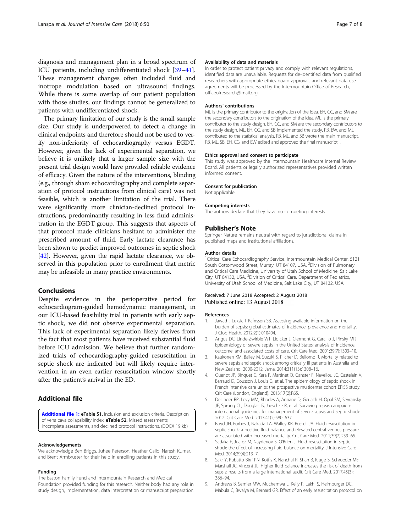<span id="page-6-0"></span>diagnosis and management plan in a broad spectrum of ICU patients, including undifferentiated shock [[39](#page-7-0)–[41](#page-7-0)]. These management changes often included fluid and inotrope modulation based on ultrasound findings. While there is some overlap of our patient population with those studies, our findings cannot be generalized to patients with undifferentiated shock.

The primary limitation of our study is the small sample size. Our study is underpowered to detect a change in clinical endpoints and therefore should not be used to verify non-inferiority of echocardiography versus EGDT. However, given the lack of experimental separation, we believe it is unlikely that a larger sample size with the present trial design would have provided reliable evidence of efficacy. Given the nature of the interventions, blinding (e.g., through sham echocardiography and complete separation of protocol instructions from clinical care) was not feasible, which is another limitation of the trial. There were significantly more clinician-declined protocol instructions, predominantly resulting in less fluid administration in the EGDT group. This suggests that aspects of that protocol made clinicians hesitant to administer the prescribed amount of fluid. Early lactate clearance has been shown to predict improved outcomes in septic shock [[42](#page-7-0)]. However, given the rapid lactate clearance, we observed in this population prior to enrollment that metric may be infeasible in many practice environments.

## Conclusions

Despite evidence in the perioperative period for echocardiogram-guided hemodynamic management, in our ICU-based feasibility trial in patients with early septic shock, we did not observe experimental separation. This lack of experimental separation likely derives from the fact that most patients have received substantial fluid before ICU admission. We believe that further randomized trials of echocardiography-guided resuscitation in septic shock are indicated but will likely require intervention in an even earlier resuscitation window shortly after the patient's arrival in the ED.

# Additional file

[Additional file 1:](https://doi.org/10.1186/s40560-018-0319-3) eTable S1. Inclusion and exclusion criteria. Description of vena cava collapsibility index. **eTable S2.** Missed assessments, incomplete assessments, and declined protocol instructions. (DOCX 19 kb)

#### Acknowledgements

We acknowledge Ben Briggs, Juhee Peterson, Heather Gallo, Naresh Kumar, and Brent Armbruster for their help in enrolling patients in this study.

#### Funding

The Easton Family Fund and Intermountain Research and Medical Foundation provided funding for this research. Neither body had any role in study design, implementation, data interpretation or manuscript preparation.

#### Availability of data and materials

In order to protect patient privacy and comply with relevant regulations, identified data are unavailable. Requests for de-identified data from qualified researchers with appropriate ethics board approvals and relevant data use agreements will be processed by the Intermountain Office of Research, officeofresearch@imail.org.

#### Authors' contributions

ML is the primary contributor to the origination of the idea. EH, GC, and SM are the secondary contributors to the origination of the idea. ML is the primary contributor to the study design. EH, GC, and SM are the secondary contributors to the study design. ML, EH, CG, and SB implemented the study. RB, EW, and ML contributed to the statistical analysis. RB, ML, and SB wrote the main manuscript. RB, ML, SB, EH, CG, and EW edited and approved the final manuscript. .

#### Ethics approval and consent to participate

This study was approved by the Intermountain Healthcare Internal Review Board. All patients or legally authorized representatives provided written informed consent.

#### Consent for publication

Not applicable

#### Competing interests

The authors declare that they have no competing interests.

#### Publisher's Note

Springer Nature remains neutral with regard to jurisdictional claims in published maps and institutional affiliations.

#### Author details

<sup>1</sup> Critical Care Echocardiography Service, Intermountain Medical Center, 5121 South Cottonwood Street, Murray, UT 84107, USA. <sup>2</sup> Division of Pulmonary and Critical Care Medicine, University of Utah School of Medicine, Salt Lake City, UT 84132, USA. <sup>3</sup> Division of Critical Care, Department of Pediatrics University of Utah School of Medicine, Salt Lake City, UT 84132, USA.

### Received: 7 June 2018 Accepted: 2 August 2018 Published online: 13 August 2018

#### References

- 1. Jawad I, Luksic I, Rafnsson SB. Assessing available information on the burden of sepsis: global estimates of incidence, prevalence and mortality. J Glob Health. 2012;2(1):010404.
- 2. Angus DC, Linde-Zwirble WT, Lidicker J, Clermont G, Carcillo J, Pinsky MR. Epidemiology of severe sepsis in the United States: analysis of incidence, outcome, and associated costs of care. Crit Care Med. 2001;29(7):1303–10.
- 3. Kaukonen KM, Bailey M, Suzuki S, Pilcher D, Bellomo R. Mortality related to severe sepsis and septic shock among critically ill patients in Australia and New Zealand, 2000-2012. Jama. 2014;311(13):1308–16.
- 4. Quenot JP, Binquet C, Kara F, Martinet O, Ganster F, Navellou JC, Castelain V, Barraud D, Cousson J, Louis G, et al. The epidemiology of septic shock in French intensive care units: the prospective multicenter cohort EPISS study. Crit Care (London, England). 2013;17(2):R65.
- 5. Dellinger RP, Levy MM, Rhodes A, Annane D, Gerlach H, Opal SM, Sevransky JE, Sprung CL, Douglas IS, Jaeschke R, et al. Surviving sepsis campaign: international guidelines for management of severe sepsis and septic shock: 2012. Crit Care Med. 2013;41(2):580–637.
- 6. Boyd JH, Forbes J, Nakada TA, Walley KR, Russell JA. Fluid resuscitation in septic shock: a positive fluid balance and elevated central venous pressure are associated with increased mortality. Crit Care Med. 2011;39(2):259–65.
- 7. Sadaka F, Juarez M, Naydenov S, O'Brien J. Fluid resuscitation in septic shock: the effect of increasing fluid balance on mortality. J Intensive Care Med. 2014;29(4):213–7.
- 8. Sakr Y, Rubatto Birri PN, Kotfis K, Nanchal R, Shah B, Kluge S, Schroeder ME, Marshall JC, Vincent JL. Higher fluid balance increases the risk of death from sepsis: results from a large international audit. Crit Care Med. 2017;45(3): 386–94.
- 9. Andrews B, Semler MW, Muchemwa L, Kelly P, Lakhi S, Heimburger DC, Mabula C, Bwalya M, Bernard GR. Effect of an early resuscitation protocol on